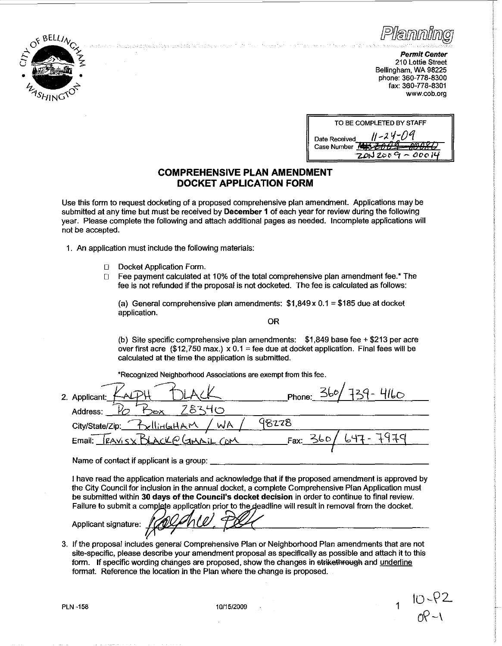

*Permit Center*  210 Lottie Street Bellingham, WA 98225 phone:360-778-8300 fax: 360-778-8301 **www.cob.org** 

| TO BE COMPLETED BY STAFF                                                                                  |  |  |
|-----------------------------------------------------------------------------------------------------------|--|--|
| $11 - 24 - 09$<br>Date Received<br><del>ЧЗ 2004 - 0008 О</del><br><b>Case Number</b><br>$7002009 - 00014$ |  |  |

## **COMPREHENSIVE PLAN AMENDMENT DOCKET APPLICATION FORM**

.<br>23. v najpaž s skrajita prinaja i kalendarska kraja je v kraja i 11. jpr. dvojni skupinsko stali s izdanje je

Use this form to request docketing of a proposed comprehensive plan amendment. Applications may be submitted at any time but must be received by December 1 of each year for review during the following year. Please complete the following and attach additional pages as needed. Incomplete applications will not be accepted.

1. An application must include the following materials:

- D Docket Application Form.
- lJ Fee payment calculated at 10% of the total comprehensive plan amendment fee.\* The fee is not refunded if the proposal is not docketed. The fee is calculated as follows:

(a) General comprehensive plan amendments:  $$1,849 \times 0.1 = $185$  due at docket application.

OR

(b) Site specific comprehensive plan amendments: \$1,849 base fee+ \$213 per acre over first acre (\$12,750 max.)  $\times$  0.1 = fee due at docket application. Final fees will be calculated at the time the application is submitted.

•Recognized Neighborhood Associations are exempt from this fee.

| 2. Applicant:                    | 360/<br>$9 - 4160$<br>Phone: |
|----------------------------------|------------------------------|
| 1834の<br>Address:<br>⊃జ≻         |                              |
| City/State/Zip: BellinGHAM<br>WA | 98228                        |
| Email: TRAVISX BLACK@ GMAIL COM  | a komz<br>Fax: 360           |
|                                  |                              |

Name of contact if applicant is a group:

I have read the application materials and acknowledge that if the proposed amendment is approved by the City Council for inclusion in the annual docket, a complete Comprehensive Plan Application must be submitted within 30 days of the Council's docket decision in order to continue to final review. Failure to submit a complete application prior to the deadline will result in removal from the docket.

Applicant signature:

3. If the proposal includes general Comprehensive Plan or Neighborhood Plan amendments that are not site-specific, please describe your amendment proposal as specifically as possible and attach it to this form. If specific wording changes are proposed, show the changes in strikethrough and underline fonmat. Reference the location in the Plan where the change is proposed.

PLN -158 2009 10/15/2009 10:00 10:00 10:00 10:00 10:00 10:00 10:00 10:00 10:00 10:00 10:00 10:00 10:00 10:00 1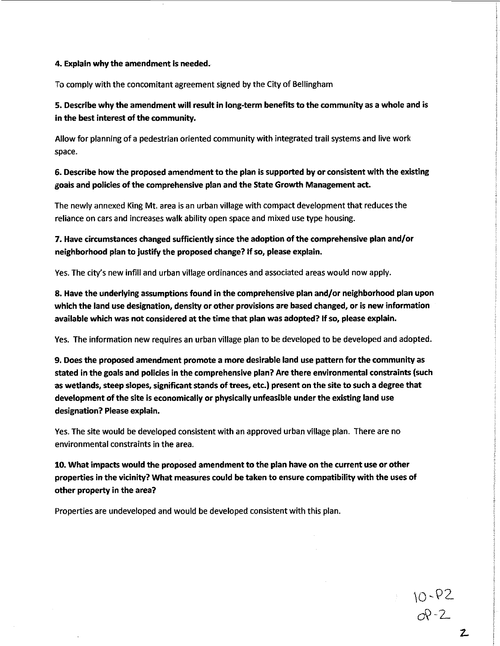## 4. Explain why the amendment is needed.

To comply with the concomitant agreement signed by the City of Bellingham

5. Describe why the amendment will result in long-term benefits to the community as a whole and is in the best interest of the community.

Allow for planning of a pedestrian oriented community with integrated trail systems and live work space.

6. Describe how the proposed amendment to the plan is supported by or consistent with the existing goals and policies of the comprehensive plan and the State Growth Management act.

The newly annexed King Mt. area is an urban village with compact development that reduces the reliance on cars and increases walk ability open space and mixed use type housing.

7. Have circumstances changed sufficiently since the adoption of the comprehensive plan and/or neighborhood plan to justify the proposed change? If so, please explain.

Yes. The city's new infill and urban village ordinances and associated areas would now apply.

8. Have the underlying assumptions found in the comprehensive plan and/or neighborhood plan upon which the land use designation, density or other provisions are based changed, or is new information available which was not considered at the time that plan was adopted? If so, please explain.

Yes. The information new requires an urban village plan to be developed to be developed and adopted.

9. Does the proposed amendment promote a more desirable land use pattern for the community as stated in the goals and policies in the comprehensive plan? Are there environmental constraints (such as wetlands, steep slopes, significant stands of trees, etc.) present on the site to such a degree that development of the site is economically or physically unfeasible under the existing land use designation? Please explain.

Yes. The site would be developed consistent with an approved urban village plan. There are no environmental constraints in the area.

10. What impacts would the proposed amendment to the plan have on the current use or other properties in the vicinity? What measures could be taken to ensure compatibility with the uses of other property in the area?

Properties are undeveloped and would be developed consistent with this plan.

 $10 - P2$ <br> $0P - 2$ 

 $\bar{z}$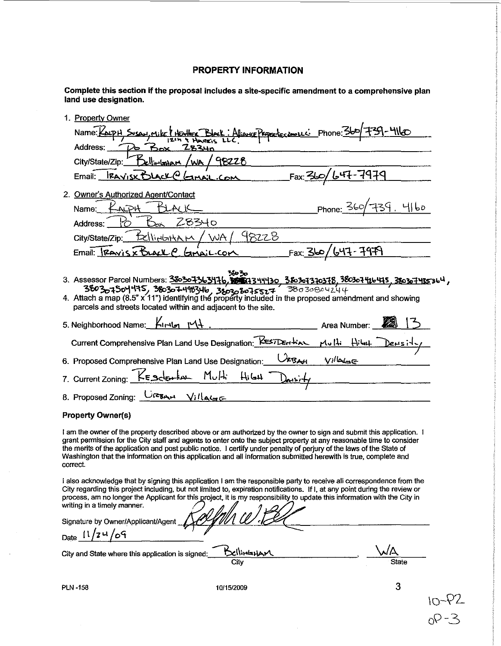## **PROPERTY INFORMATION**

Complete this section if the proposal includes a site-specific amendment to a comprehensive plan land use designation.

| 1. Property Owner                                                                                                                                                                                                                                                                                                                                                                                                                                                                                                |                    |                             |
|------------------------------------------------------------------------------------------------------------------------------------------------------------------------------------------------------------------------------------------------------------------------------------------------------------------------------------------------------------------------------------------------------------------------------------------------------------------------------------------------------------------|--------------------|-----------------------------|
| Name: Koup H, Suson, Mike ! Heather Block: Aliance Properties amount Phone: 360/-                                                                                                                                                                                                                                                                                                                                                                                                                                |                    |                             |
| Address:<br><b>Z8340</b>                                                                                                                                                                                                                                                                                                                                                                                                                                                                                         |                    |                             |
| <u>Bellinland</u><br>City/State/Zip:                                                                                                                                                                                                                                                                                                                                                                                                                                                                             | 98228              |                             |
| $Email$ : $RAYISXDACLOG$ $Amail$ .                                                                                                                                                                                                                                                                                                                                                                                                                                                                               | Fax: 350           | -7979<br>'ራዣ                |
| 2. Owner's Authorized Agent/Contact                                                                                                                                                                                                                                                                                                                                                                                                                                                                              |                    |                             |
| Name:                                                                                                                                                                                                                                                                                                                                                                                                                                                                                                            |                    | <u>Phone: 360/739. 4160</u> |
| 28340<br>Address:                                                                                                                                                                                                                                                                                                                                                                                                                                                                                                |                    |                             |
| <u>Eellinlattam</u><br>City/State/Zip:                                                                                                                                                                                                                                                                                                                                                                                                                                                                           | <u>'WA/ 48228</u>  |                             |
| $Email:$ $Ravisx$ bear $R$ $Gmin:C$                                                                                                                                                                                                                                                                                                                                                                                                                                                                              |                    | <u> Fax: 360/647-7979</u>   |
| 3. Assessor Parcel Numbers: 380307363476, 8887344430, 380307370378, 380307416475, 380307435364,<br>$36030$ 3803 $\overline{0}$ 3803 $\overline{0}$ 3403 $\overline{0}$ 3803 $\overline{0}$ 3803 $\overline{0}$ $\overline{1}$ $\overline{5}$ $\overline{2}$ $\overline{2}$ $\overline{4}$ $\overline{5}$ $\overline{8}$ $\overline{0}$ $\overline{3}$ $\overline{6}$ $\overline{0}$ $\overline{2}$ $\overline{4}$ $\overline{4}$ 4. Attach a map<br>parcels and streets located within and adjacent to the site. |                    |                             |
| 5. Neighborhood Name: Kindy MA                                                                                                                                                                                                                                                                                                                                                                                                                                                                                   |                    | Area Number:                |
| Current Comprehensive Plan Land Use Designation: KES7DEH KAL                                                                                                                                                                                                                                                                                                                                                                                                                                                     |                    | Mulli<br>$H =$              |
| 6. Proposed Comprehensive Plan Land Use Designation:                                                                                                                                                                                                                                                                                                                                                                                                                                                             | <b>RBAH</b>        | $Vi^{\prime}$ lala $\in$    |
| 7. Current Zoning: KESCENTINE Multi Hilest Donsin                                                                                                                                                                                                                                                                                                                                                                                                                                                                |                    |                             |
| 8. Proposed Zoning: $\frac{C_1}{C_2}$ $\frac{C_1}{C_3}$                                                                                                                                                                                                                                                                                                                                                                                                                                                          |                    |                             |
| <b>Property Owner(s)</b>                                                                                                                                                                                                                                                                                                                                                                                                                                                                                         |                    |                             |
| I am the owner of the property described above or am authorized by the owner to sign and submit this application. I<br>grant permission for the City staff and agents to enter onto the subject property at any reasonable time to consider<br>the merits of the application and post public notice. I certify under penalty of perjury of the laws of the State of<br>Washington that the information on this application and all information submitted herewith is true, complete and<br>correct.              |                    |                             |
| I also acknowledge that by signing this application I am the responsible party to receive all correspondence from the<br>City regarding this project including, but not limited to, expiration notifications. If I, at any point during the review or<br>process, am no longer the Applicant for this project, it is my responsibility to update this information with the City in<br>writing in a timely manner.                                                                                                |                    |                             |
| Signature by Owner/Applicant/Agent                                                                                                                                                                                                                                                                                                                                                                                                                                                                               |                    |                             |
| Date $11/24/69$                                                                                                                                                                                                                                                                                                                                                                                                                                                                                                  |                    |                             |
| City and State where this application is signed:                                                                                                                                                                                                                                                                                                                                                                                                                                                                 | BellingHAM<br>City | <b>State</b>                |
|                                                                                                                                                                                                                                                                                                                                                                                                                                                                                                                  |                    |                             |
| <b>PLN-158</b>                                                                                                                                                                                                                                                                                                                                                                                                                                                                                                   | 10/15/2009         | 3                           |

10/15/2009

 $\alpha$ 

 $10 - 82$ <br> $00 - 3$ 

**PLN-158** 

 $\sim$ 

 $\sim$ 

 $\bar{z}$